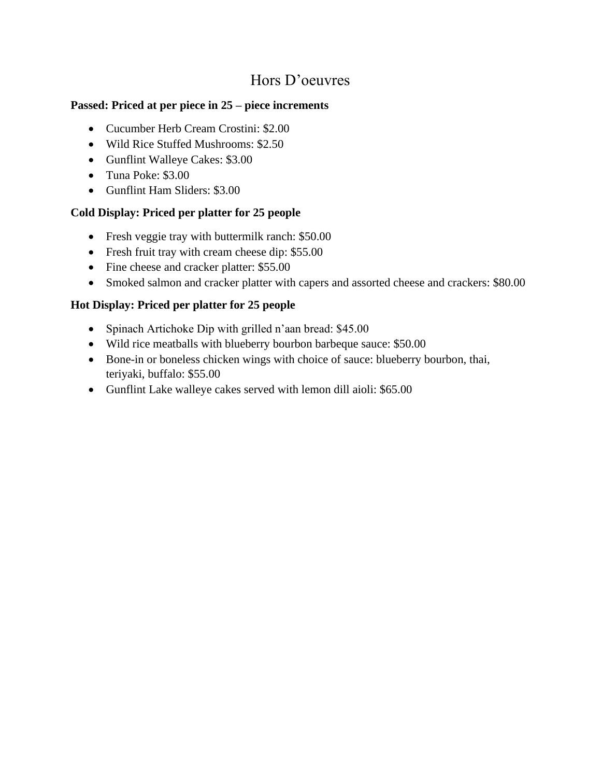# Hors D'oeuvres

#### **Passed: Priced at per piece in 25 – piece increments**

- Cucumber Herb Cream Crostini: \$2.00
- Wild Rice Stuffed Mushrooms: \$2.50
- Gunflint Walleye Cakes: \$3.00
- Tuna Poke: \$3.00
- Gunflint Ham Sliders: \$3.00

#### **Cold Display: Priced per platter for 25 people**

- Fresh veggie tray with buttermilk ranch: \$50.00
- Fresh fruit tray with cream cheese dip: \$55.00
- Fine cheese and cracker platter: \$55.00
- Smoked salmon and cracker platter with capers and assorted cheese and crackers: \$80.00

## **Hot Display: Priced per platter for 25 people**

- Spinach Artichoke Dip with grilled n'aan bread: \$45.00
- Wild rice meatballs with blueberry bourbon barbeque sauce: \$50.00
- Bone-in or boneless chicken wings with choice of sauce: blueberry bourbon, thai, teriyaki, buffalo: \$55.00
- Gunflint Lake walleye cakes served with lemon dill aioli: \$65.00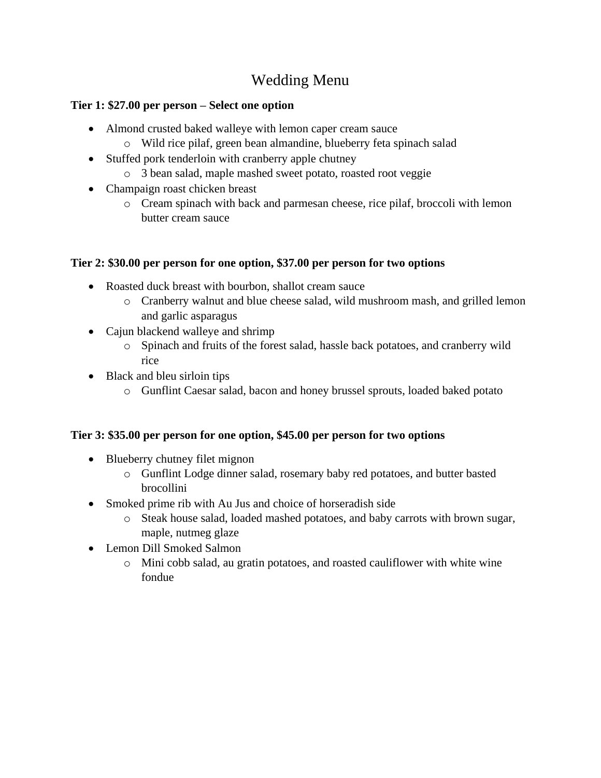# Wedding Menu

#### **Tier 1: \$27.00 per person – Select one option**

- Almond crusted baked walleye with lemon caper cream sauce
	- o Wild rice pilaf, green bean almandine, blueberry feta spinach salad
- Stuffed pork tenderloin with cranberry apple chutney
	- o 3 bean salad, maple mashed sweet potato, roasted root veggie
- Champaign roast chicken breast
	- o Cream spinach with back and parmesan cheese, rice pilaf, broccoli with lemon butter cream sauce

## **Tier 2: \$30.00 per person for one option, \$37.00 per person for two options**

- Roasted duck breast with bourbon, shallot cream sauce
	- o Cranberry walnut and blue cheese salad, wild mushroom mash, and grilled lemon and garlic asparagus
- Cajun blackend walleye and shrimp
	- o Spinach and fruits of the forest salad, hassle back potatoes, and cranberry wild rice
- Black and bleu sirloin tips
	- o Gunflint Caesar salad, bacon and honey brussel sprouts, loaded baked potato

# **Tier 3: \$35.00 per person for one option, \$45.00 per person for two options**

- Blueberry chutney filet mignon
	- o Gunflint Lodge dinner salad, rosemary baby red potatoes, and butter basted brocollini
- Smoked prime rib with Au Jus and choice of horseradish side
	- o Steak house salad, loaded mashed potatoes, and baby carrots with brown sugar, maple, nutmeg glaze
- Lemon Dill Smoked Salmon
	- o Mini cobb salad, au gratin potatoes, and roasted cauliflower with white wine fondue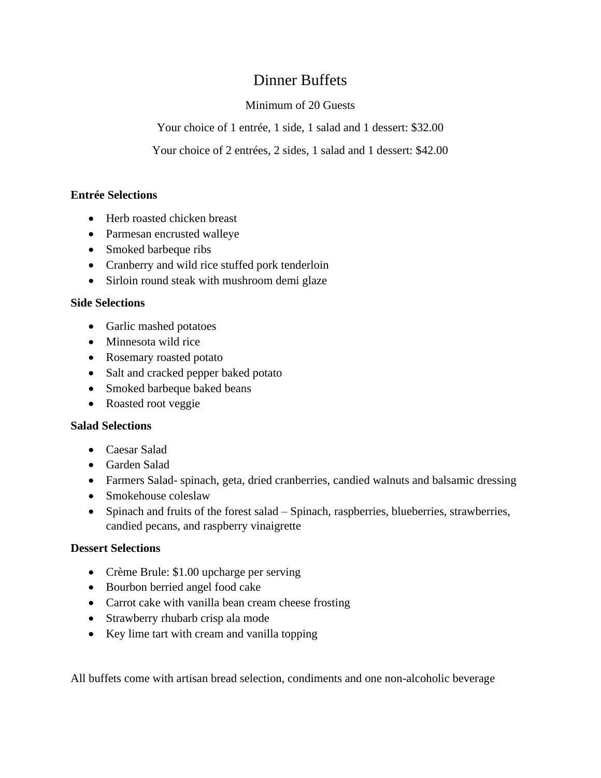# Dinner Buffets

## Minimum of 20 Guests

Your choice of 1 entrée, 1 side, 1 salad and 1 dessert: \$32.00

Your choice of 2 entrées, 2 sides, 1 salad and 1 dessert: \$42.00

#### **Entrée Selections**

- Herb roasted chicken breast
- Parmesan encrusted walleye
- Smoked barbeque ribs
- Cranberry and wild rice stuffed pork tenderloin
- Sirloin round steak with mushroom demi glaze

#### **Side Selections**

- Garlic mashed potatoes
- Minnesota wild rice
- Rosemary roasted potato
- Salt and cracked pepper baked potato
- Smoked barbeque baked beans
- Roasted root veggie

#### **Salad Selections**

- Caesar Salad
- Garden Salad
- Farmers Salad- spinach, geta, dried cranberries, candied walnuts and balsamic dressing
- Smokehouse coleslaw
- Spinach and fruits of the forest salad Spinach, raspberries, blueberries, strawberries, candied pecans, and raspberry vinaigrette

#### **Dessert Selections**

- Crème Brule: \$1.00 upcharge per serving
- Bourbon berried angel food cake
- Carrot cake with vanilla bean cream cheese frosting
- Strawberry rhubarb crisp ala mode
- Key lime tart with cream and vanilla topping

All buffets come with artisan bread selection, condiments and one non-alcoholic beverage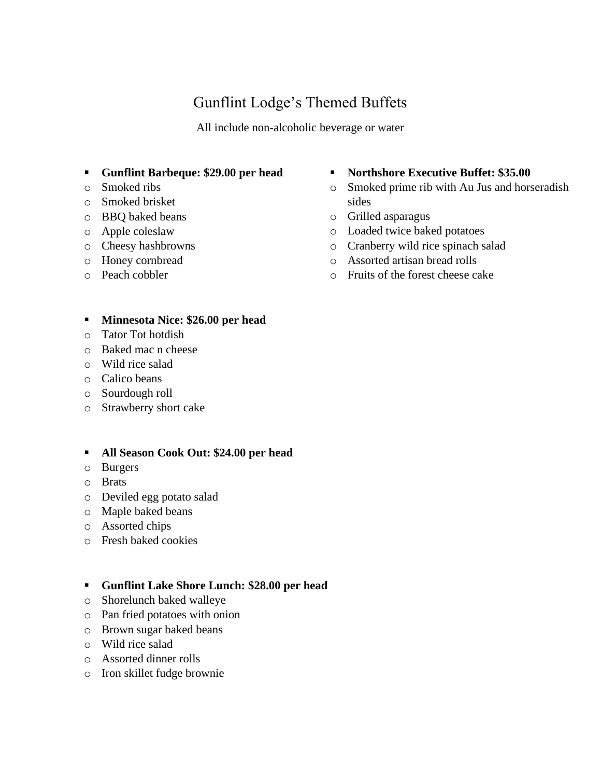# Gunflint Lodge's Themed Buffets

All include non-alcoholic beverage or water

- **Gunflint Barbeque: \$29.00 per head**
- o Smoked ribs
- o Smoked brisket
- o BBQ baked beans
- o Apple coleslaw
- o Cheesy hashbrowns
- o Honey cornbread
- o Peach cobbler

#### ■ **Northshore Executive Buffet: \$35.00**

- o Smoked prime rib with Au Jus and horseradish sides
- o Grilled asparagus
- o Loaded twice baked potatoes
- o Cranberry wild rice spinach salad
- o Assorted artisan bread rolls
- o Fruits of the forest cheese cake

#### ▪ **Minnesota Nice: \$26.00 per head**

- o Tator Tot hotdish
- o Baked mac n cheese
- o Wild rice salad
- o Calico beans
- o Sourdough roll
- o Strawberry short cake

#### ▪ **All Season Cook Out: \$24.00 per head**

- o Burgers
- o Brats
- o Deviled egg potato salad
- o Maple baked beans
- o Assorted chips
- o Fresh baked cookies

#### ▪ **Gunflint Lake Shore Lunch: \$28.00 per head**

- o Shorelunch baked walleye
- o Pan fried potatoes with onion
- o Brown sugar baked beans
- o Wild rice salad
- o Assorted dinner rolls
- o Iron skillet fudge brownie